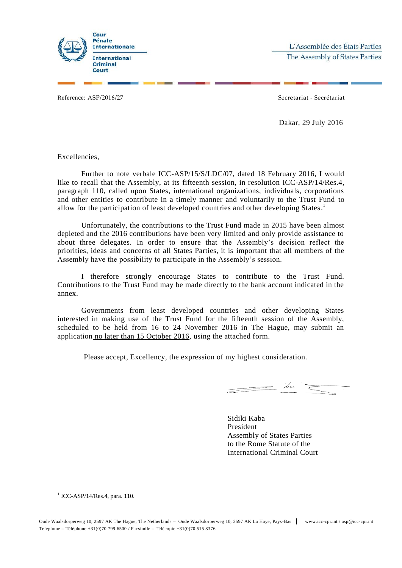

Reference: ASP/2016/27 Secretariat - Secrétariat

Dakar, 29 July 2016

Excellencies,

Further to note verbale ICC-ASP/15/S/LDC/07, dated 18 February 2016, I would like to recall that the Assembly, at its fifteenth session, in resolution ICC-ASP/14/Res.4, paragraph 110, called upon States, international organizations, individuals, corporations and other entities to contribute in a timely manner and voluntarily to the Trust Fund to allow for the participation of least developed countries and other developing States.<sup>1</sup>

Unfortunately, the contributions to the Trust Fund made in 2015 have been almost depleted and the 2016 contributions have been very limited and only provide assistance to about three delegates. In order to ensure that the Assembly's decision reflect the priorities, ideas and concerns of all States Parties, it is important that all members of the Assembly have the possibility to participate in the Assembly's session.

I therefore strongly encourage States to contribute to the Trust Fund. Contributions to the Trust Fund may be made directly to the bank account indicated in the annex.

Governments from least developed countries and other developing States interested in making use of the Trust Fund for the fifteenth session of the Assembly, scheduled to be held from 16 to 24 November 2016 in The Hague, may submit an application no later than 15 October 2016, using the attached form.

Please accept, Excellency, the expression of my highest consideration.

<u>In the communication of the communication of the communication of the communication of the communication of the communication of the communication of the communication of the communication of the communication of the comm</u>

Sidiki Kaba President Assembly of States Parties to the Rome Statute of the International Criminal Court

-1 ICC-ASP/14/Res.4, para. 110.

Oude Waalsdorperweg 10, 2597 AK The Hague, The Netherlands – Oude Waalsdorperweg 10, 2597 AK La Haye, Pays-Bas www.icc-cpi.int / asp@icc-cpi.int Telephone – Téléphone +31(0)70 799 6500 / Facsimile – Télécopie +31(0)70 515 8376